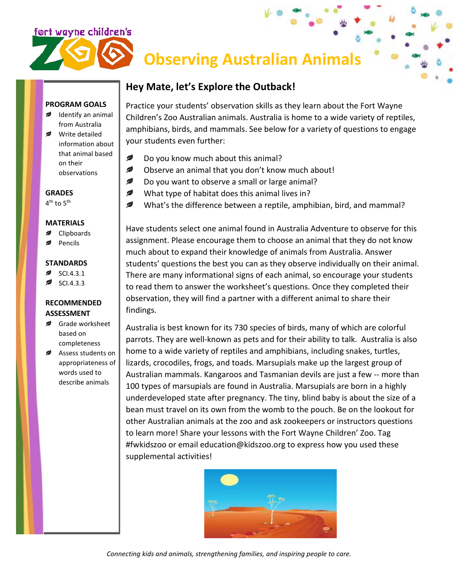# <u>ført wayne children's</u>

## **Observing Australian Animals**

### **Hey Mate, let's Explore the Outback!**

**PROGRAM GOALS** Identify an animal

from Australia Write detailed information about that animal based on their observations

**GRADES** 4<sup>th</sup> to 5<sup>th</sup>

#### **MATERIALS**

- Clipboards
- Pencils

#### **STANDARDS**

- SCI.4.3.1
- SCI.4.3.3

#### **RECOMMENDED ASSESSMENT**

- Grade worksheet based on completeness
- Assess students on appropriateness of words used to describe animals

Practice your students' observation skills as they learn about the Fort Wayne Children's Zoo Australian animals. Australia is home to a wide variety of reptiles, amphibians, birds, and mammals. See below for a variety of questions to engage your students even further:

- Ø Do you know much about this animal?
- Ø Observe an animal that you don't know much about!
- $\overline{\phantom{a}}$ Do you want to observe a small or large animal?
- $\overline{\mathscr{L}}$ What type of habitat does this animal lives in?
- $\mathcal{D}$ What's the difference between a reptile, amphibian, bird, and mammal?

Have students select one animal found in Australia Adventure to observe for this assignment. Please encourage them to choose an animal that they do not know much about to expand their knowledge of animals from Australia. Answer students' questions the best you can as they observe individually on their animal. There are many informational signs of each animal, so encourage your students to read them to answer the worksheet's questions. Once they completed their observation, they will find a partner with a different animal to share their findings.

Australia is best known for its 730 species of birds, many of which are colorful parrots. They are well-known as pets and for their ability to talk. Australia is also home to a wide variety of reptiles and amphibians, including snakes, turtles, lizards, crocodiles, frogs, and toads. Marsupials make up the largest group of Australian mammals. Kangaroos and Tasmanian devils are just a few -- more than 100 types of marsupials are found in Australia. Marsupials are born in a highly underdeveloped state after pregnancy. The tiny, blind baby is about the size of a bean must travel on its own from the womb to the pouch. Be on the lookout for other Australian animals at the zoo and ask zookeepers or instructors questions to learn more! Share your lessons with the Fort Wayne Children' Zoo. Tag #fwkidszoo or email education@kidszoo.org to express how you used these supplemental activities!



*Connecting kids and animals, strengthening families, and inspiring people to care.*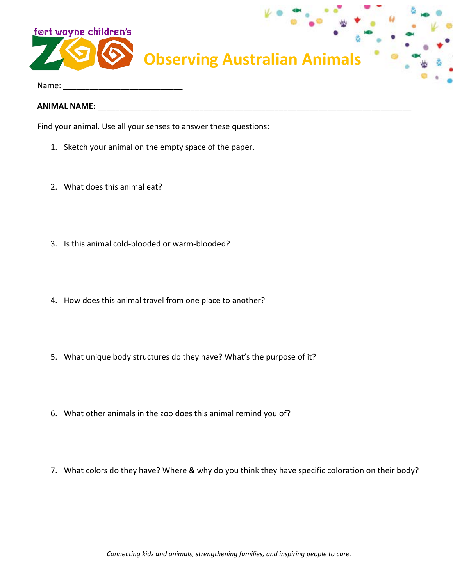

Name:

**ANIMAL NAME:** \_\_\_\_\_\_\_\_\_\_\_\_\_\_\_\_\_\_\_\_\_\_\_\_\_\_\_\_\_\_\_\_\_\_\_\_\_\_\_\_\_\_\_\_\_\_\_\_\_\_\_\_\_\_\_\_\_\_\_\_\_\_\_\_\_\_\_\_\_\_\_

Find your animal. Use all your senses to answer these questions:

- 1. Sketch your animal on the empty space of the paper.
- 2. What does this animal eat?
- 3. Is this animal cold-blooded or warm-blooded?
- 4. How does this animal travel from one place to another?
- 5. What unique body structures do they have? What's the purpose of it?
- 6. What other animals in the zoo does this animal remind you of?
- 7. What colors do they have? Where & why do you think they have specific coloration on their body?